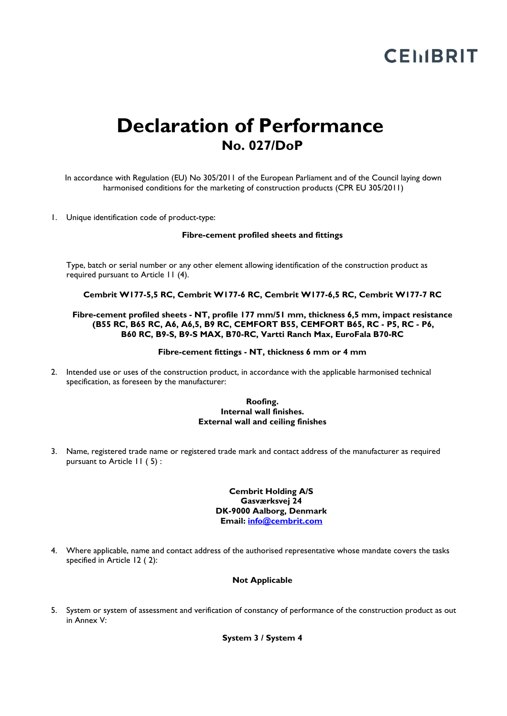# **CEMBRIT**

# **Declaration of Performance No. 027/DoP**

In accordance with Regulation (EU) No 305/2011 of the European Parliament and of the Council laying down harmonised conditions for the marketing of construction products (CPR EU 305/2011)

1. Unique identification code of product-type:

#### **Fibre-cement profiled sheets and fittings**

Type, batch or serial number or any other element allowing identification of the construction product as required pursuant to Article 11 (4).

**Cembrit W177-5,5 RC, Cembrit W177-6 RC, Cembrit W177-6,5 RC, Cembrit W177-7 RC**

#### **Fibre-cement profiled sheets - NT, profile 177 mm/51 mm, thickness 6,5 mm, impact resistance (B55 RC, B65 RC, A6, A6,5, B9 RC, CEMFORT B55, CEMFORT B65, RC - P5, RC - P6, B60 RC, B9-S, B9-S MAX, B70-RC, Vartti Ranch Max, EuroFala B70-RC**

#### **Fibre-cement fittings - NT, thickness 6 mm or 4 mm**

2. Intended use or uses of the construction product, in accordance with the applicable harmonised technical specification, as foreseen by the manufacturer:

#### **Roofing. Internal wall finishes. External wall and ceiling finishes**

3. Name, registered trade name or registered trade mark and contact address of the manufacturer as required pursuant to Article 11 ( 5) :

> **Cembrit Holding A/S Gasværksvej 24 DK-9000 Aalborg, Denmark Email: [info@cembrit.com](mailto:info@cembrit.com)**

4. Where applicable, name and contact address of the authorised representative whose mandate covers the tasks specified in Article 12 ( 2):

#### **Not Applicable**

5. System or system of assessment and verification of constancy of performance of the construction product as out in Annex V:

**System 3 / System 4**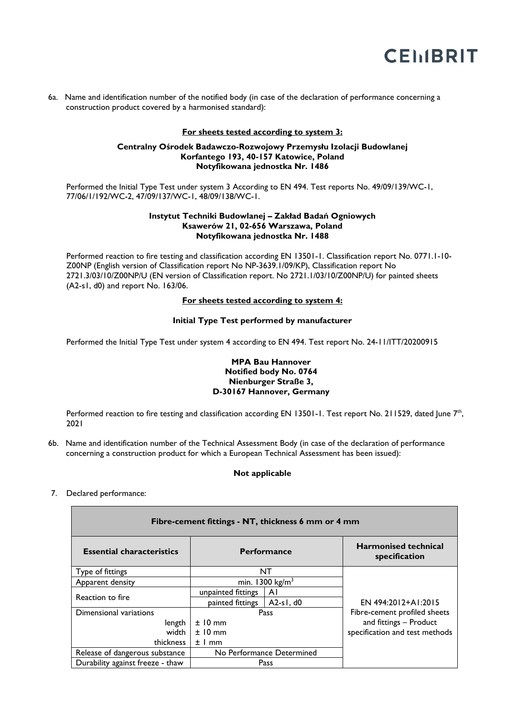

6a. Name and identification number of the notified body (in case of the declaration of performance concerning a construction product covered by a harmonised standard):

## **For sheets tested according to system 3:**

#### **Centralny Ośrodek Badawczo-Rozwojowy Przemysłu Izolacji Budowlanej Korfantego 193, 40-157 Katowice, Poland Notyfikowana jednostka Nr. 1486**

Performed the Initial Type Test under system 3 According to EN 494. Test reports No. 49/09/139/WC-1, 77/06/1/192/WC-2, 47/09/137/WC-1, 48/09/138/WC-1.

#### **Instytut Techniki Budowlanej – Zakład Badań Ogniowych Ksawerów 21, 02-656 Warszawa, Poland Notyfikowana jednostka Nr. 1488**

Performed reaction to fire testing and classification according EN 13501-1. Classification report No. 0771.1-10- Z00NP (English version of Classification report No NP-3639.1/09/KP), Classification report No 2721.3/03/10/Z00NP/U (EN version of Classification report. No 2721.1/03/10/Z00NP/U) for painted sheets (A2-s1, d0) and report No. 163/06.

## **For sheets tested according to system 4:**

## **Initial Type Test performed by manufacturer**

Performed the Initial Type Test under system 4 according to EN 494. Test report No. 24-11/ITT/20200915

# **MPA Bau Hannover Notified body No. 0764 Nienburger Straße 3, D-30167 Hannover, Germany**

Performed reaction to fire testing and classification according EN 13501-1. Test report No. 211529, dated June 7<sup>th</sup>, 2021

6b. Name and identification number of the Technical Assessment Body (in case of the declaration of performance concerning a construction product for which a European Technical Assessment has been issued):

# **Not applicable**

7. Declared performance:

| Fibre-cement fittings - NT, thickness 6 mm or 4 mm |                            |             |                                              |  |  |
|----------------------------------------------------|----------------------------|-------------|----------------------------------------------|--|--|
| <b>Essential characteristics</b>                   | <b>Performance</b>         |             | <b>Harmonised technical</b><br>specification |  |  |
| Type of fittings                                   | <b>NT</b>                  |             |                                              |  |  |
| Apparent density                                   | min. $1300 \text{ kg/m}^3$ |             |                                              |  |  |
| Reaction to fire                                   | unpainted fittings         | ΑI          |                                              |  |  |
|                                                    | painted fittings           | $A2-s1, d0$ | EN 494:2012+A1:2015                          |  |  |
| Dimensional variations                             | Pass                       |             | Fibre-cement profiled sheets                 |  |  |
| length                                             | $±10$ mm                   |             | and fittings - Product                       |  |  |
| width                                              | $±10$ mm                   |             | specification and test methods               |  |  |
| thickness                                          | $±1$ mm                    |             |                                              |  |  |
| Release of dangerous substance                     | No Performance Determined  |             |                                              |  |  |
| Durability against freeze - thaw                   | Pass                       |             |                                              |  |  |